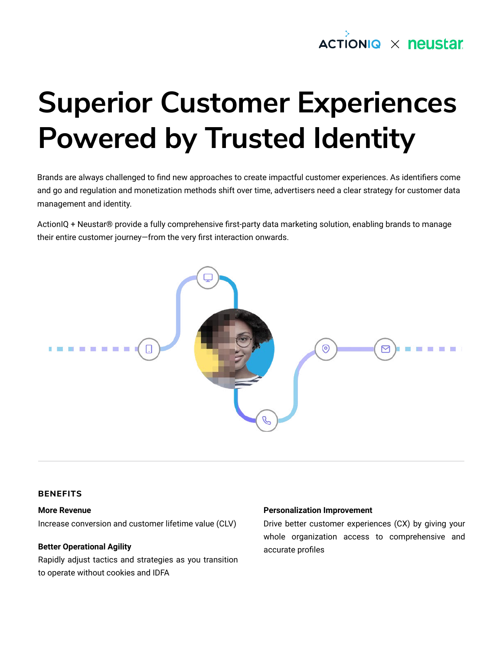

# **Superior Customer Experiences Powered by Trusted Identity**

Brands are always challenged to find new approaches to create impactful customer experiences. As identifiers come and go and regulation and monetization methods shift over time, advertisers need a clear strategy for customer data management and identity.

ActionIQ + Neustar® provide a fully comprehensive first-party data marketing solution, enabling brands to manage their entire customer journey—from the very first interaction onwards.



## **BENEFITS**

#### **More Revenue**

Increase conversion and customer lifetime value (CLV)

#### **Better Operational Agility**

Rapidly adjust tactics and strategies as you transition to operate without cookies and IDFA

#### **Personalization Improvement**

Drive better customer experiences (CX) by giving your whole organization access to comprehensive and accurate profiles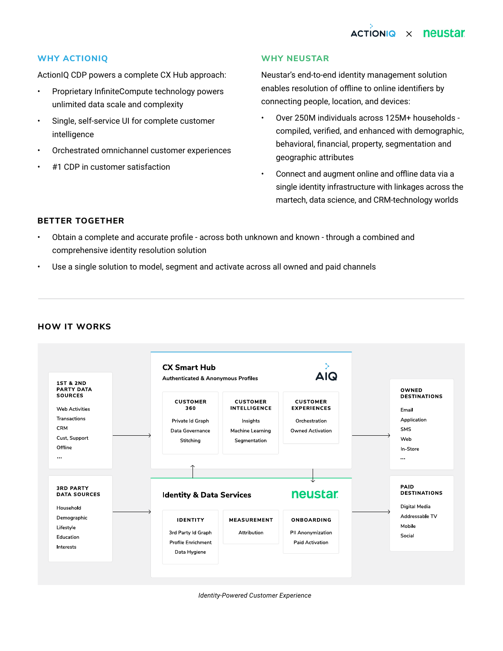# **ACTIONIQ X neustar**

# **WHY ACTIONIQ**

ActionIQ CDP powers a complete CX Hub approach:

- Proprietary InfiniteCompute technology powers unlimited data scale and complexity
- Single, self-service UI for complete customer intelligence
- Orchestrated omnichannel customer experiences
- #1 CDP in customer satisfaction

#### **WHY NEUSTAR**

Neustar's end-to-end identity management solution enables resolution of offline to online identifiers by connecting people, location, and devices:

- Over 250M individuals across 125M+ households compiled, verified, and enhanced with demographic, behavioral, financial, property, segmentation and geographic attributes
- Connect and augment online and offline data via a single identity infrastructure with linkages across the martech, data science, and CRM-technology worlds

## **BETTER TOGETHER**

- Obtain a complete and accurate profile across both unknown and known through a combined and comprehensive identity resolution solution
- Use a single solution to model, segment and activate across all owned and paid channels



# **HOW IT WORKS**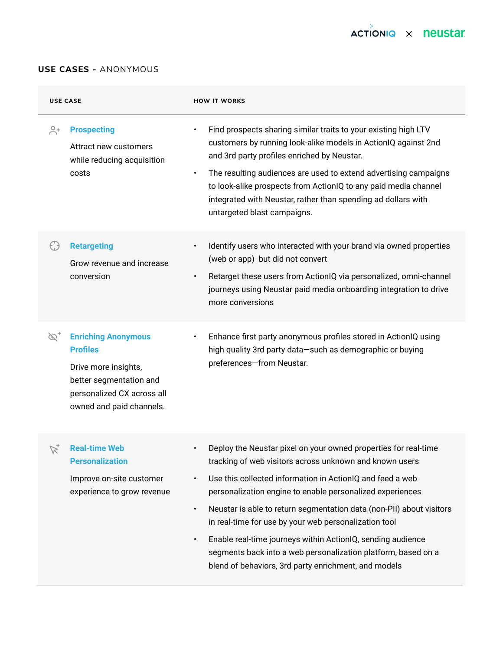

# **USE CASES -** ANONYMOUS

| <b>USE CASE</b>        |                                                                                                                                                            | <b>HOW IT WORKS</b>                                                                                                                                                                                                                                                                                                                                                                                                                                                                                                                                                                                                  |
|------------------------|------------------------------------------------------------------------------------------------------------------------------------------------------------|----------------------------------------------------------------------------------------------------------------------------------------------------------------------------------------------------------------------------------------------------------------------------------------------------------------------------------------------------------------------------------------------------------------------------------------------------------------------------------------------------------------------------------------------------------------------------------------------------------------------|
| $\overline{\bigcap}^0$ | <b>Prospecting</b><br>Attract new customers<br>while reducing acquisition<br>costs                                                                         | Find prospects sharing similar traits to your existing high LTV<br>$\bullet$<br>customers by running look-alike models in ActionIQ against 2nd<br>and 3rd party profiles enriched by Neustar.<br>The resulting audiences are used to extend advertising campaigns<br>$\bullet$<br>to look-alike prospects from ActionIQ to any paid media channel<br>integrated with Neustar, rather than spending ad dollars with<br>untargeted blast campaigns.                                                                                                                                                                    |
| $\left(\cdot\right)$   | <b>Retargeting</b><br>Grow revenue and increase<br>conversion                                                                                              | Identify users who interacted with your brand via owned properties<br>$\bullet$<br>(web or app) but did not convert<br>Retarget these users from ActionIQ via personalized, omni-channel<br>$\bullet$<br>journeys using Neustar paid media onboarding integration to drive<br>more conversions                                                                                                                                                                                                                                                                                                                       |
| $\mathscr{D}_+$        | <b>Enriching Anonymous</b><br><b>Profiles</b><br>Drive more insights,<br>better segmentation and<br>personalized CX across all<br>owned and paid channels. | Enhance first party anonymous profiles stored in ActionIQ using<br>$\bullet$<br>high quality 3rd party data-such as demographic or buying<br>preferences-from Neustar.                                                                                                                                                                                                                                                                                                                                                                                                                                               |
| $\mathbb{Z}_+$         | <b>Real-time Web</b><br><b>Personalization</b><br>Improve on-site customer<br>experience to grow revenue                                                   | Deploy the Neustar pixel on your owned properties for real-time<br>tracking of web visitors across unknown and known users<br>Use this collected information in ActionIQ and feed a web<br>$\bullet$<br>personalization engine to enable personalized experiences<br>Neustar is able to return segmentation data (non-PII) about visitors<br>$\bullet$<br>in real-time for use by your web personalization tool<br>Enable real-time journeys within ActionIQ, sending audience<br>$\bullet$<br>segments back into a web personalization platform, based on a<br>blend of behaviors, 3rd party enrichment, and models |